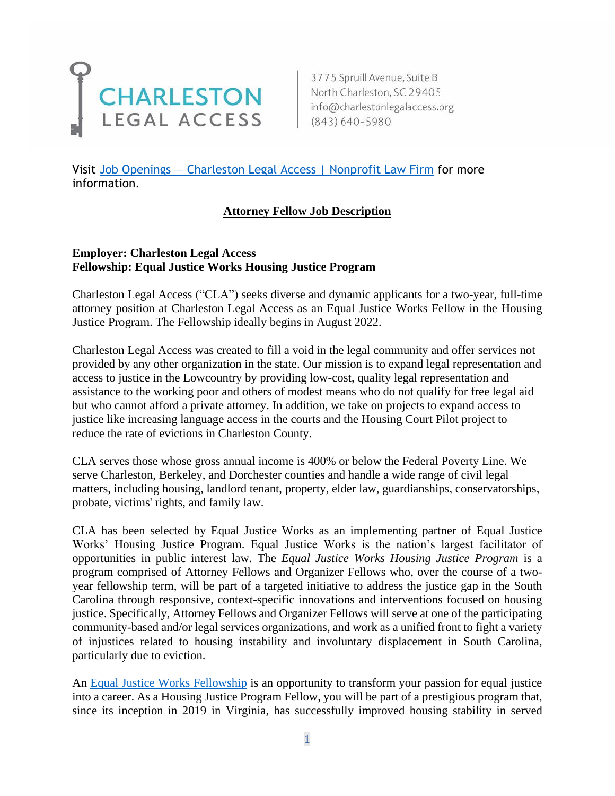

3775 Spruill Avenue, Suite B

Visit Job Openings – [Charleston Legal Access | Nonprofit Law Firm](https://www.charlestonlegalaccess.org/job-openings) for more information.

#### **Attorney Fellow Job Description**

#### **Employer: Charleston Legal Access Fellowship: Equal Justice Works Housing Justice Program**

Charleston Legal Access ("CLA") seeks diverse and dynamic applicants for a two-year, full-time attorney position at Charleston Legal Access as an Equal Justice Works Fellow in the Housing Justice Program. The Fellowship ideally begins in August 2022.

Charleston Legal Access was created to fill a void in the legal community and offer services not provided by any other organization in the state. Our mission is to expand legal representation and access to justice in the Lowcountry by providing low-cost, quality legal representation and assistance to the working poor and others of modest means who do not qualify for free legal aid but who cannot afford a private attorney. In addition, we take on projects to expand access to justice like increasing language access in the courts and the Housing Court Pilot project to reduce the rate of evictions in Charleston County.

CLA serves those whose gross annual income is 400% or below the Federal Poverty Line. We serve Charleston, Berkeley, and Dorchester counties and handle a wide range of civil legal matters, including housing, landlord tenant, property, elder law, guardianships, conservatorships, probate, victims' rights, and family law.

CLA has been selected by Equal Justice Works as an implementing partner of Equal Justice Works' Housing Justice Program. Equal Justice Works is the nation's largest facilitator of opportunities in public interest law. The *Equal Justice Works Housing Justice Program* is a program comprised of Attorney Fellows and Organizer Fellows who, over the course of a twoyear fellowship term, will be part of a targeted initiative to address the justice gap in the South Carolina through responsive, context-specific innovations and interventions focused on housing justice. Specifically, Attorney Fellows and Organizer Fellows will serve at one of the participating community-based and/or legal services organizations, and work as a unified front to fight a variety of injustices related to housing instability and involuntary displacement in South Carolina, particularly due to eviction.

An [Equal Justice Works Fellowship](https://www.equaljusticeworks.org/become-a-fellow/) is an opportunity to transform your passion for equal justice into a career. As a Housing Justice Program Fellow, you will be part of a prestigious program that, since its inception in 2019 in Virginia, has successfully improved housing stability in served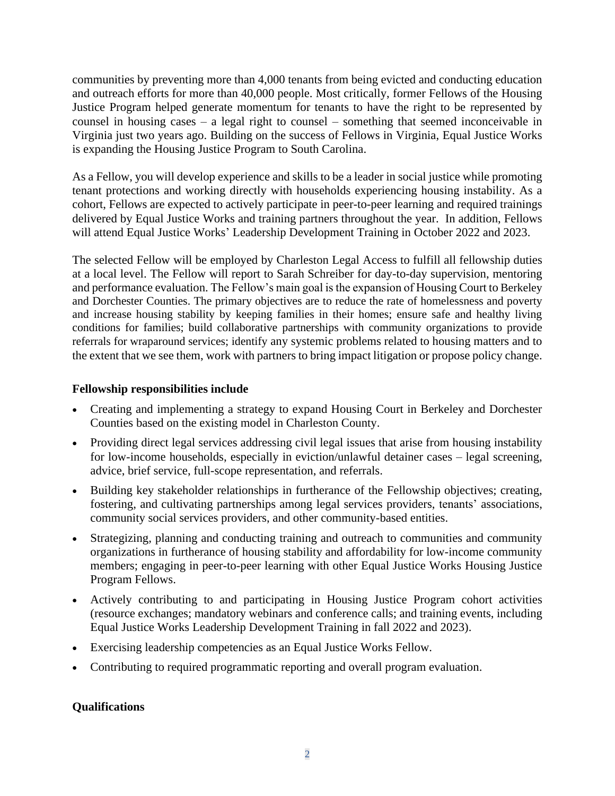communities by preventing more than 4,000 tenants from being evicted and conducting education and outreach efforts for more than 40,000 people. Most critically, former Fellows of the Housing Justice Program helped generate momentum for tenants to have the right to be represented by counsel in housing cases – a legal right to counsel – something that seemed inconceivable in Virginia just two years ago. Building on the success of Fellows in Virginia, Equal Justice Works is expanding the Housing Justice Program to South Carolina.

As a Fellow, you will develop experience and skills to be a leader in social justice while promoting tenant protections and working directly with households experiencing housing instability. As a cohort, Fellows are expected to actively participate in peer-to-peer learning and required trainings delivered by Equal Justice Works and training partners throughout the year. In addition, Fellows will attend Equal Justice Works' Leadership Development Training in October 2022 and 2023.

The selected Fellow will be employed by Charleston Legal Access to fulfill all fellowship duties at a local level. The Fellow will report to Sarah Schreiber for day-to-day supervision, mentoring and performance evaluation. The Fellow's main goal is the expansion of Housing Court to Berkeley and Dorchester Counties. The primary objectives are to reduce the rate of homelessness and poverty and increase housing stability by keeping families in their homes; ensure safe and healthy living conditions for families; build collaborative partnerships with community organizations to provide referrals for wraparound services; identify any systemic problems related to housing matters and to the extent that we see them, work with partners to bring impact litigation or propose policy change.

## **Fellowship responsibilities include**

- Creating and implementing a strategy to expand Housing Court in Berkeley and Dorchester Counties based on the existing model in Charleston County.
- Providing direct legal services addressing civil legal issues that arise from housing instability for low-income households, especially in eviction/unlawful detainer cases – legal screening, advice, brief service, full-scope representation, and referrals.
- Building key stakeholder relationships in furtherance of the Fellowship objectives; creating, fostering, and cultivating partnerships among legal services providers, tenants' associations, community social services providers, and other community-based entities.
- Strategizing, planning and conducting training and outreach to communities and community organizations in furtherance of housing stability and affordability for low-income community members; engaging in peer-to-peer learning with other Equal Justice Works Housing Justice Program Fellows.
- Actively contributing to and participating in Housing Justice Program cohort activities (resource exchanges; mandatory webinars and conference calls; and training events, including Equal Justice Works Leadership Development Training in fall 2022 and 2023).
- Exercising leadership competencies as an Equal Justice Works Fellow.
- Contributing to required programmatic reporting and overall program evaluation.

# **Qualifications**